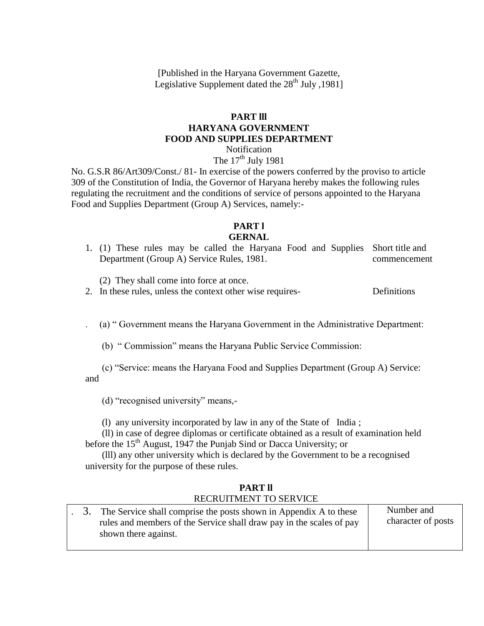[Published in the Haryana Government Gazette, Legislative Supplement dated the  $28<sup>th</sup>$  July , 1981]

### **PART lll HARYANA GOVERNMENT FOOD AND SUPPLIES DEPARTMENT**

Notification The  $17<sup>th</sup>$  July 1981

No. G.S.R 86/Art309/Const./ 81- In exercise of the powers conferred by the proviso to article 309 of the Constitution of India, the Governor of Haryana hereby makes the following rules regulating the recruitment and the conditions of service of persons appointed to the Haryana Food and Supplies Department (Group A) Services, namely:-

## **PART l**

#### **GERNAL**

1. (1) These rules may be called the Haryana Food and Supplies Short title and Department (Group A) Service Rules, 1981. commencement

(2) They shall come into force at once.

2. In these rules, unless the context other wise requires- Definitions

(a) "Government means the Haryana Government in the Administrative Department:

(b) "Commission" means the Haryana Public Service Commission:

 (c) ―Service: means the Haryana Food and Supplies Department (Group A) Service: and

(d) "recognised university" means,-

(l) any university incorporated by law in any of the State of India ;

 (ll) in case of degree diplomas or certificate obtained as a result of examination held before the  $15<sup>th</sup>$  August, 1947 the Punjab Sind or Dacca University; or

 (lll) any other university which is declared by the Government to be a recognised university for the purpose of these rules.

### **PART ll** RECRUITMENT TO SERVICE

|  | 3. The Service shall comprise the posts shown in Appendix A to these<br>rules and members of the Service shall draw pay in the scales of pay | Number and<br>character of posts |
|--|----------------------------------------------------------------------------------------------------------------------------------------------|----------------------------------|
|  | shown there against.                                                                                                                         |                                  |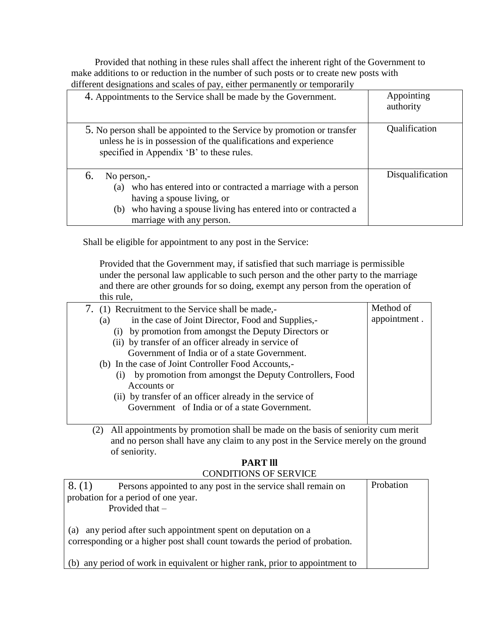Provided that nothing in these rules shall affect the inherent right of the Government to make additions to or reduction in the number of such posts or to create new posts with different designations and scales of pay, either permanently or temporarily

| 4. Appointments to the Service shall be made by the Government.                                                                                                                                                          | Appointing<br>authority |
|--------------------------------------------------------------------------------------------------------------------------------------------------------------------------------------------------------------------------|-------------------------|
| 5. No person shall be appointed to the Service by promotion or transfer<br>unless he is in possession of the qualifications and experience<br>specified in Appendix 'B' to these rules.                                  | Qualification           |
| No person,-<br>6.<br>who has entered into or contracted a marriage with a person<br>(a)<br>having a spouse living, or<br>who having a spouse living has entered into or contracted a<br>(b)<br>marriage with any person. | Disqualification        |

Shall be eligible for appointment to any post in the Service:

Provided that the Government may, if satisfied that such marriage is permissible under the personal law applicable to such person and the other party to the marriage and there are other grounds for so doing, exempt any person from the operation of this rule,

| 7. (1) Recruitment to the Service shall be made,-         | Method of    |
|-----------------------------------------------------------|--------------|
| in the case of Joint Director, Food and Supplies,-<br>(a) | appointment. |
| (i) by promotion from amongst the Deputy Directors or     |              |
| (ii) by transfer of an officer already in service of      |              |
| Government of India or of a state Government.             |              |
| (b) In the case of Joint Controller Food Accounts,-       |              |
| by promotion from amongst the Deputy Controllers, Food    |              |
| Accounts or                                               |              |
| (ii) by transfer of an officer already in the service of  |              |
| Government of India or of a state Government.             |              |
|                                                           |              |

(2) All appointments by promotion shall be made on the basis of seniority cum merit and no person shall have any claim to any post in the Service merely on the ground of seniority.

#### **PART lll** CONDITIONS OF SERVICE

| 8. (1) | Persons appointed to any post in the service shall remain on                                                                              | Probation |
|--------|-------------------------------------------------------------------------------------------------------------------------------------------|-----------|
|        | probation for a period of one year.                                                                                                       |           |
|        | Provided that $-$                                                                                                                         |           |
| (a)    | any period after such appointment spent on deputation on a<br>corresponding or a higher post shall count towards the period of probation. |           |
| (b)    | any period of work in equivalent or higher rank, prior to appointment to                                                                  |           |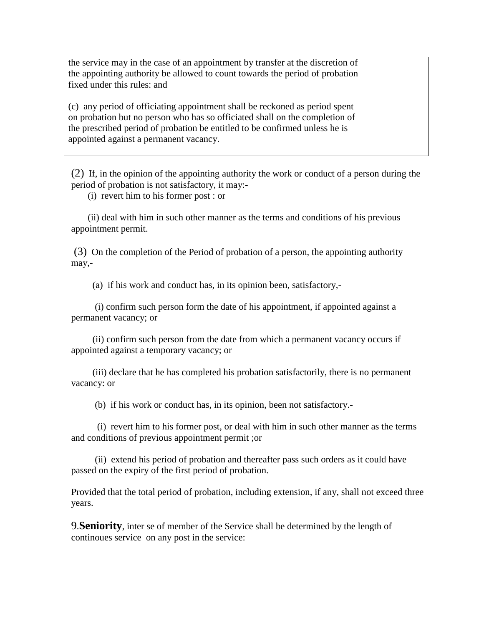the service may in the case of an appointment by transfer at the discretion of the appointing authority be allowed to count towards the period of probation fixed under this rules: and

(c) any period of officiating appointment shall be reckoned as period spent on probation but no person who has so officiated shall on the completion of the prescribed period of probation be entitled to be confirmed unless he is appointed against a permanent vacancy.

(2) If, in the opinion of the appointing authority the work or conduct of a person during the period of probation is not satisfactory, it may:-

(i) revert him to his former post : or

 (ii) deal with him in such other manner as the terms and conditions of his previous appointment permit.

(3) On the completion of the Period of probation of a person, the appointing authority may,-

(a) if his work and conduct has, in its opinion been, satisfactory,-

 (i) confirm such person form the date of his appointment, if appointed against a permanent vacancy; or

 (ii) confirm such person from the date from which a permanent vacancy occurs if appointed against a temporary vacancy; or

 (iii) declare that he has completed his probation satisfactorily, there is no permanent vacancy: or

(b) if his work or conduct has, in its opinion, been not satisfactory.-

 (i) revert him to his former post, or deal with him in such other manner as the terms and conditions of previous appointment permit ;or

 (ii) extend his period of probation and thereafter pass such orders as it could have passed on the expiry of the first period of probation.

Provided that the total period of probation, including extension, if any, shall not exceed three years.

9.**Seniority**, inter se of member of the Service shall be determined by the length of continoues service on any post in the service: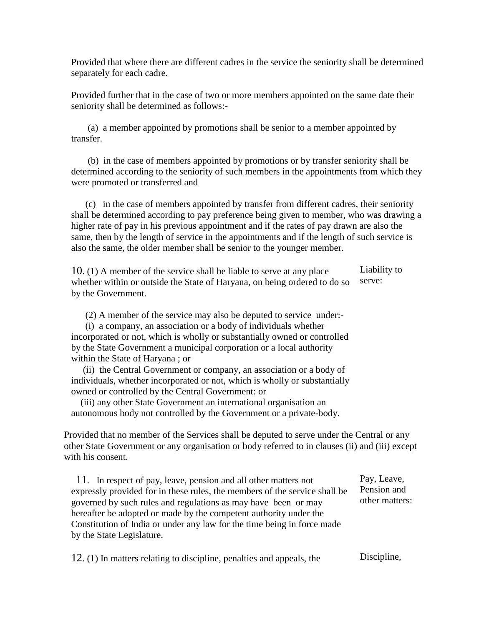Provided that where there are different cadres in the service the seniority shall be determined separately for each cadre.

Provided further that in the case of two or more members appointed on the same date their seniority shall be determined as follows:-

 (a) a member appointed by promotions shall be senior to a member appointed by transfer.

 (b) in the case of members appointed by promotions or by transfer seniority shall be determined according to the seniority of such members in the appointments from which they were promoted or transferred and

 (c) in the case of members appointed by transfer from different cadres, their seniority shall be determined according to pay preference being given to member, who was drawing a higher rate of pay in his previous appointment and if the rates of pay drawn are also the same, then by the length of service in the appointments and if the length of such service is also the same, the older member shall be senior to the younger member.

10. (1) A member of the service shall be liable to serve at any place whether within or outside the State of Haryana, on being ordered to do so by the Government. Liability to serve:

(2) A member of the service may also be deputed to service under:-

 (i) a company, an association or a body of individuals whether incorporated or not, which is wholly or substantially owned or controlled by the State Government a municipal corporation or a local authority within the State of Haryana ; or

 (ii) the Central Government or company, an association or a body of individuals, whether incorporated or not, which is wholly or substantially owned or controlled by the Central Government: or

 (iii) any other State Government an international organisation an autonomous body not controlled by the Government or a private-body.

Provided that no member of the Services shall be deputed to serve under the Central or any other State Government or any organisation or body referred to in clauses (ii) and (iii) except with his consent.

 11. In respect of pay, leave, pension and all other matters not expressly provided for in these rules, the members of the service shall be governed by such rules and regulations as may have been or may hereafter be adopted or made by the competent authority under the Constitution of India or under any law for the time being in force made by the State Legislature. Pay, Leave, Pension and other matters:

12. (1) In matters relating to discipline, penalties and appeals, the Discipline,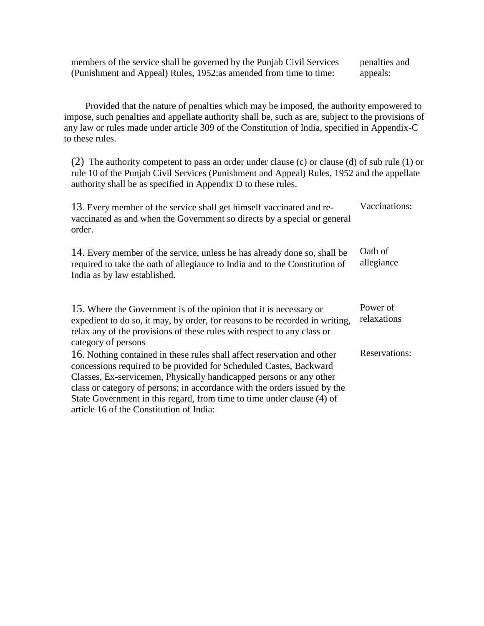members of the service shall be governed by the Punjab Civil Services (Punishment and Appeal) Rules, 1952;as amended from time to time: penalties and appeals:

 Provided that the nature of penalties which may be imposed, the authority empowered to impose, such penalties and appellate authority shall be, such as are, subject to the provisions of any law or rules made under article 309 of the Constitution of India, specified in Appendix-C to these rules.

(2) The authority competent to pass an order under clause (c) or clause (d) of sub rule (1) or rule 10 of the Punjab Civil Services (Punishment and Appeal) Rules, 1952 and the appellate authority shall be as specified in Appendix D to these rules.

| 13. Every member of the service shall get himself vaccinated and re-<br>vaccinated as and when the Government so directs by a special or general<br>order.                                                                                                                                                                                                                                                              | Vaccinations:           |
|-------------------------------------------------------------------------------------------------------------------------------------------------------------------------------------------------------------------------------------------------------------------------------------------------------------------------------------------------------------------------------------------------------------------------|-------------------------|
| 14. Every member of the service, unless he has already done so, shall be<br>required to take the oath of allegiance to India and to the Constitution of<br>India as by law established.                                                                                                                                                                                                                                 | Oath of<br>allegiance   |
| 15. Where the Government is of the opinion that it is necessary or<br>expedient to do so, it may, by order, for reasons to be recorded in writing,<br>relax any of the provisions of these rules with respect to any class or<br>category of persons                                                                                                                                                                    | Power of<br>relaxations |
| 16. Nothing contained in these rules shall affect reservation and other<br>concessions required to be provided for Scheduled Castes, Backward<br>Classes, Ex-servicemen, Physically handicapped persons or any other<br>class or category of persons; in accordance with the orders issued by the<br>State Government in this regard, from time to time under clause (4) of<br>article 16 of the Constitution of India: | <b>Reservations:</b>    |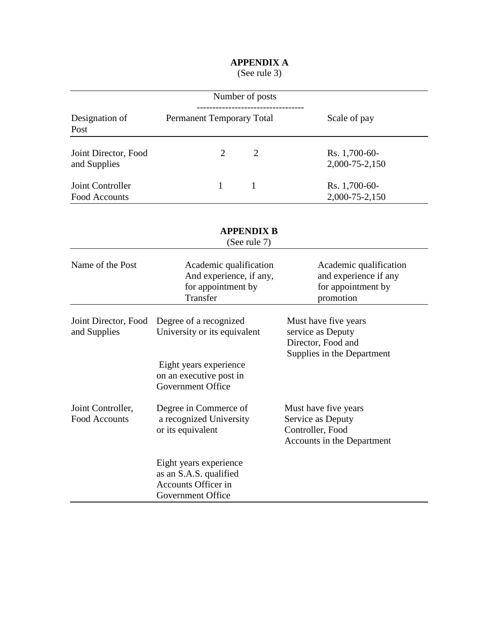# **APPENDIX A**

(See rule 3)

|                                           | Number of posts                                                                              |                                                                                               |
|-------------------------------------------|----------------------------------------------------------------------------------------------|-----------------------------------------------------------------------------------------------|
| Designation of<br>Post                    | Permanent Temporary Total                                                                    | Scale of pay                                                                                  |
| Joint Director, Food<br>and Supplies      | $\overline{2}$<br>$\overline{2}$                                                             | Rs. 1,700-60-<br>2,000-75-2,150                                                               |
| Joint Controller<br><b>Food Accounts</b>  | 1<br>1                                                                                       | Rs. 1,700-60-<br>2,000-75-2,150                                                               |
|                                           | <b>APPENDIX B</b><br>(See rule 7)                                                            |                                                                                               |
| Name of the Post                          | Academic qualification<br>And experience, if any,<br>for appointment by<br>Transfer          | Academic qualification<br>and experience if any<br>for appointment by<br>promotion            |
| Joint Director, Food<br>and Supplies      | Degree of a recognized<br>University or its equivalent                                       | Must have five years<br>service as Deputy<br>Director, Food and<br>Supplies in the Department |
|                                           | Eight years experience<br>on an executive post in<br><b>Government Office</b>                |                                                                                               |
| Joint Controller,<br><b>Food Accounts</b> | Degree in Commerce of<br>a recognized University<br>or its equivalent                        | Must have five years<br>Service as Deputy<br>Controller, Food<br>Accounts in the Department   |
|                                           | Eight years experience<br>as an S.A.S. qualified<br>Accounts Officer in<br>Government Office |                                                                                               |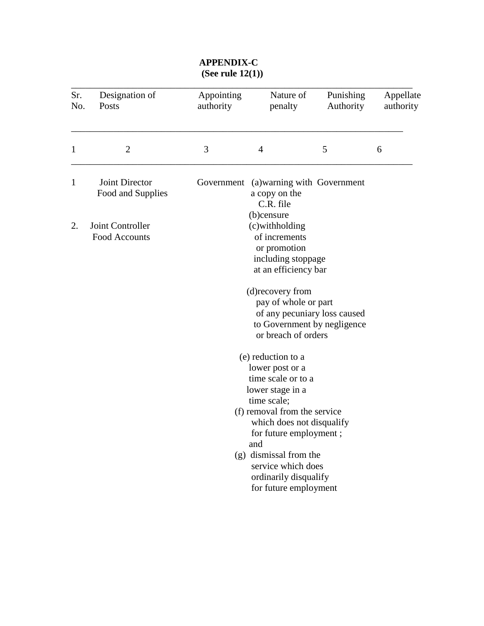## **APPENDIX-C (See rule 12(1))**

| Sr.<br>No. | Designation of<br>Posts                                                                                                                          | Appointing<br>authority | Nature of<br>penalty                                                                                                                                                                                                                                                                           | Punishing<br>Authority | Appellate<br>authority |  |  |
|------------|--------------------------------------------------------------------------------------------------------------------------------------------------|-------------------------|------------------------------------------------------------------------------------------------------------------------------------------------------------------------------------------------------------------------------------------------------------------------------------------------|------------------------|------------------------|--|--|
| 1          | $\overline{2}$                                                                                                                                   | 3                       | $\overline{4}$                                                                                                                                                                                                                                                                                 | 5                      | 6                      |  |  |
| 1          | Joint Director<br>Food and Supplies                                                                                                              | Government              | (a) warning with Government<br>a copy on the<br>C.R. file                                                                                                                                                                                                                                      |                        |                        |  |  |
| 2.         | (b)censure<br>(c)withholding<br>Joint Controller<br>of increments<br>Food Accounts<br>or promotion<br>including stoppage<br>at an efficiency bar |                         |                                                                                                                                                                                                                                                                                                |                        |                        |  |  |
|            |                                                                                                                                                  |                         | (d) recovery from<br>pay of whole or part<br>of any pecuniary loss caused<br>to Government by negligence<br>or breach of orders                                                                                                                                                                |                        |                        |  |  |
|            |                                                                                                                                                  |                         | (e) reduction to a<br>lower post or a<br>time scale or to a<br>lower stage in a<br>time scale;<br>(f) removal from the service<br>which does not disqualify<br>for future employment;<br>and<br>(g) dismissal from the<br>service which does<br>ordinarily disqualify<br>for future employment |                        |                        |  |  |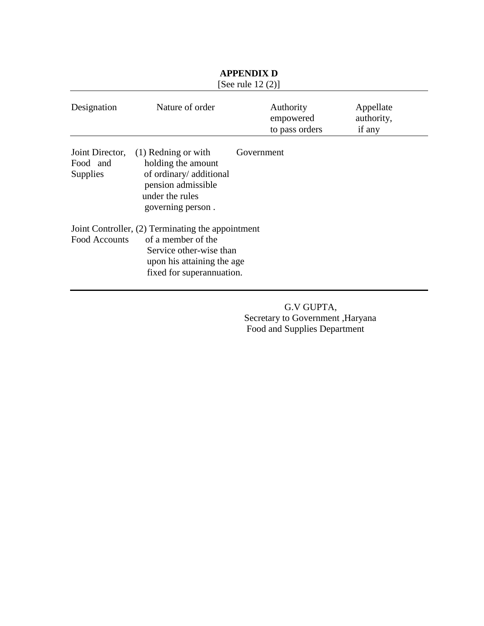|                                                |                                                                                                                                                                | 100010012177                             |                                   |
|------------------------------------------------|----------------------------------------------------------------------------------------------------------------------------------------------------------------|------------------------------------------|-----------------------------------|
| Designation                                    | Nature of order                                                                                                                                                | Authority<br>empowered<br>to pass orders | Appellate<br>authority,<br>if any |
| Joint Director,<br>Food and<br><b>Supplies</b> | $(1)$ Redning or with<br>holding the amount<br>of ordinary/ additional<br>pension admissible<br>under the rules<br>governing person.                           | Government                               |                                   |
| Food Accounts                                  | Joint Controller, (2) Terminating the appointment<br>of a member of the<br>Service other-wise than<br>upon his attaining the age.<br>fixed for superannuation. |                                          |                                   |

#### **APPENDIX D** [See rule  $12(2)$ ]

 G.V GUPTA, Secretary to Government ,Haryana Food and Supplies Department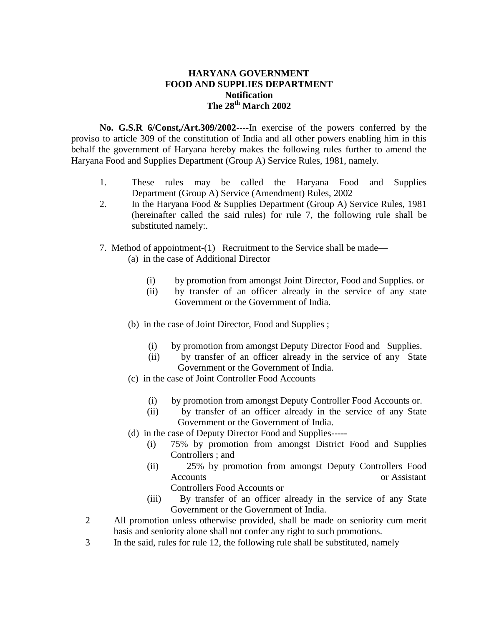### **HARYANA GOVERNMENT FOOD AND SUPPLIES DEPARTMENT Notification The 28th March 2002**

**No. G.S.R 6/Const,/Art.309/2002----**In exercise of the powers conferred by the proviso to article 309 of the constitution of India and all other powers enabling him in this behalf the government of Haryana hereby makes the following rules further to amend the Haryana Food and Supplies Department (Group A) Service Rules, 1981, namely.

- 1. These rules may be called the Haryana Food and Supplies Department (Group A) Service (Amendment) Rules, 2002
- 2. In the Haryana Food & Supplies Department (Group A) Service Rules, 1981 (hereinafter called the said rules) for rule 7, the following rule shall be substituted namely:.
- 7. Method of appointment-(1) Recruitment to the Service shall be made—
	- (a) in the case of Additional Director
		- (i) by promotion from amongst Joint Director, Food and Supplies. or
		- (ii) by transfer of an officer already in the service of any state Government or the Government of India.
	- (b) in the case of Joint Director, Food and Supplies ;
		- (i) by promotion from amongst Deputy Director Food and Supplies.
		- (ii) by transfer of an officer already in the service of any State Government or the Government of India.
	- (c) in the case of Joint Controller Food Accounts
		- (i) by promotion from amongst Deputy Controller Food Accounts or.
		- (ii) by transfer of an officer already in the service of any State Government or the Government of India.
	- (d) in the case of Deputy Director Food and Supplies-----
		- (i) 75% by promotion from amongst District Food and Supplies Controllers ; and
		- (ii) 25% by promotion from amongst Deputy Controllers Food Accounts or Assistant Controllers Food Accounts or
		- (iii) By transfer of an officer already in the service of any State Government or the Government of India.
- 2 All promotion unless otherwise provided, shall be made on seniority cum merit basis and seniority alone shall not confer any right to such promotions.
- 3 In the said, rules for rule 12, the following rule shall be substituted, namely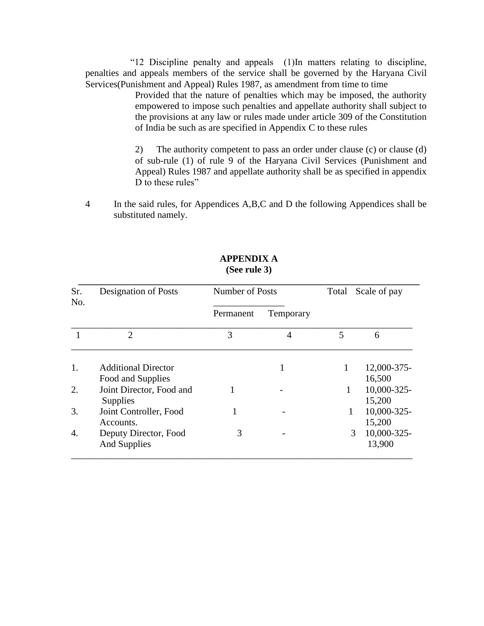―12 Discipline penalty and appeals (1)In matters relating to discipline, penalties and appeals members of the service shall be governed by the Haryana Civil Services(Punishment and Appeal) Rules 1987, as amendment from time to time

> Provided that the nature of penalties which may be imposed, the authority empowered to impose such penalties and appellate authority shall subject to the provisions at any law or rules made under article 309 of the Constitution of India be such as are specified in Appendix C to these rules

> 2) The authority competent to pass an order under clause (c) or clause (d) of sub-rule (1) of rule 9 of the Haryana Civil Services (Punishment and Appeal) Rules 1987 and appellate authority shall be as specified in appendix D to these rules"

4 In the said rules, for Appendices A,B,C and D the following Appendices shall be substituted namely.

| Sr.<br>No. | <b>Designation of Posts</b>                     | Number of Posts |           | Total | Scale of pay          |  |
|------------|-------------------------------------------------|-----------------|-----------|-------|-----------------------|--|
|            |                                                 | Permanent       | Temporary |       |                       |  |
|            | $\overline{2}$                                  | 3               | 4         | 5     | 6                     |  |
| 1.         | <b>Additional Director</b><br>Food and Supplies |                 | 1         | 1     | 12,000-375-<br>16,500 |  |
| 2.         | Joint Director, Food and<br>Supplies            |                 |           | 1     | 10,000-325-<br>15,200 |  |
| 3.         | Joint Controller, Food<br>Accounts.             |                 |           | 1     | 10,000-325-<br>15,200 |  |
| 4.         | Deputy Director, Food<br><b>And Supplies</b>    | 3               |           | 3     | 10,000-325-<br>13,900 |  |

### **APPENDIX A (See rule 3)**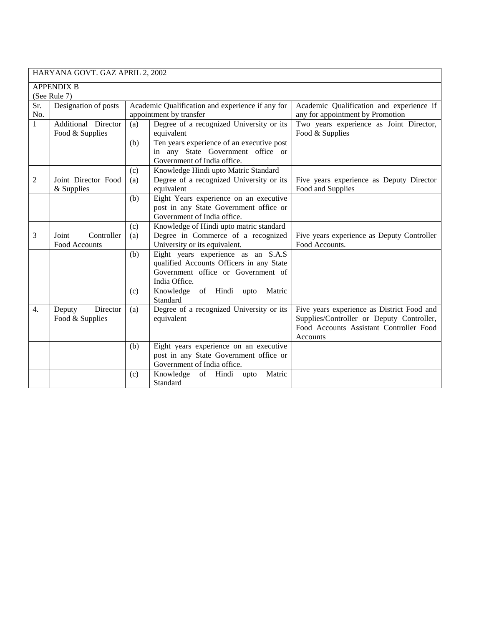HARYANA GOVT. GAZ APRIL 2, 2002

|              | <b>APPENDIX B</b>    |     |                                                  |                                            |  |  |  |  |
|--------------|----------------------|-----|--------------------------------------------------|--------------------------------------------|--|--|--|--|
|              | (See Rule 7)         |     |                                                  |                                            |  |  |  |  |
| Sr.          | Designation of posts |     | Academic Qualification and experience if any for | Academic Qualification and experience if   |  |  |  |  |
| No.          |                      |     | appointment by transfer                          | any for appointment by Promotion           |  |  |  |  |
| $\mathbf{1}$ | Additional Director  | (a) | Degree of a recognized University or its         | Two years experience as Joint Director,    |  |  |  |  |
|              | Food & Supplies      |     | equivalent                                       | Food & Supplies                            |  |  |  |  |
|              |                      | (b) | Ten years experience of an executive post        |                                            |  |  |  |  |
|              |                      |     | in any State Government office or                |                                            |  |  |  |  |
|              |                      |     | Government of India office.                      |                                            |  |  |  |  |
|              |                      | (c) | Knowledge Hindi upto Matric Standard             |                                            |  |  |  |  |
| 2            | Joint Director Food  | (a) | Degree of a recognized University or its         | Five years experience as Deputy Director   |  |  |  |  |
|              | & Supplies           |     | equivalent                                       | Food and Supplies                          |  |  |  |  |
|              |                      | (b) | Eight Years experience on an executive           |                                            |  |  |  |  |
|              |                      |     | post in any State Government office or           |                                            |  |  |  |  |
|              |                      |     | Government of India office.                      |                                            |  |  |  |  |
|              |                      | (c) | Knowledge of Hindi upto matric standard          |                                            |  |  |  |  |
| 3            | Joint<br>Controller  | (a) | Degree in Commerce of a recognized               | Five years experience as Deputy Controller |  |  |  |  |
|              | Food Accounts        |     | University or its equivalent.                    | Food Accounts.                             |  |  |  |  |
|              |                      | (b) | Eight years experience as an S.A.S               |                                            |  |  |  |  |
|              |                      |     | qualified Accounts Officers in any State         |                                            |  |  |  |  |
|              |                      |     | Government office or Government of               |                                            |  |  |  |  |
|              |                      |     | India Office.                                    |                                            |  |  |  |  |
|              |                      | (c) | of Hindi<br>Knowledge<br>Matric<br>upto          |                                            |  |  |  |  |
|              |                      |     | Standard                                         |                                            |  |  |  |  |
| 4.           | Director<br>Deputy   | (a) | Degree of a recognized University or its         | Five years experience as District Food and |  |  |  |  |
|              | Food & Supplies      |     | equivalent                                       | Supplies/Controller or Deputy Controller,  |  |  |  |  |
|              |                      |     |                                                  | Food Accounts Assistant Controller Food    |  |  |  |  |
|              |                      |     |                                                  | Accounts                                   |  |  |  |  |
|              |                      | (b) | Eight years experience on an executive           |                                            |  |  |  |  |
|              |                      |     | post in any State Government office or           |                                            |  |  |  |  |
|              |                      |     | Government of India office.                      |                                            |  |  |  |  |
|              |                      | (c) | of Hindi upto<br>Matric<br>Knowledge             |                                            |  |  |  |  |
|              |                      |     | Standard                                         |                                            |  |  |  |  |
|              |                      |     |                                                  |                                            |  |  |  |  |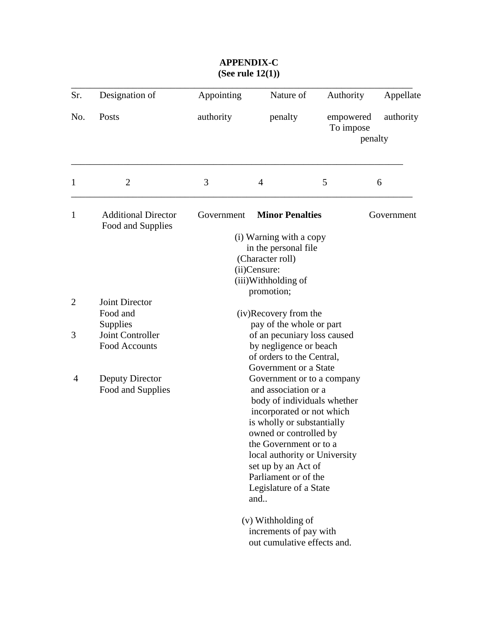| Sr.            | Designation of                                       | Appointing                                                                                                                                                                                                                                                                                                        | Nature of                                                                                                                               | Authority              | Appellate            |  |
|----------------|------------------------------------------------------|-------------------------------------------------------------------------------------------------------------------------------------------------------------------------------------------------------------------------------------------------------------------------------------------------------------------|-----------------------------------------------------------------------------------------------------------------------------------------|------------------------|----------------------|--|
| No.            | Posts                                                | authority<br>penalty                                                                                                                                                                                                                                                                                              |                                                                                                                                         | empowered<br>To impose | authority<br>penalty |  |
| 1              | $\overline{2}$                                       | 3                                                                                                                                                                                                                                                                                                                 | $\overline{4}$                                                                                                                          | 5                      | 6                    |  |
| $\mathbf{1}$   | <b>Additional Director</b><br>Food and Supplies      | Government                                                                                                                                                                                                                                                                                                        | <b>Minor Penalties</b>                                                                                                                  |                        | Government           |  |
|                |                                                      |                                                                                                                                                                                                                                                                                                                   | (i) Warning with a copy<br>in the personal file<br>(Character roll)<br>(ii)Censure:<br>(iii)Withholding of<br>promotion;                |                        |                      |  |
| $\overline{2}$ | <b>Joint Director</b><br>Food and                    |                                                                                                                                                                                                                                                                                                                   | (iv)Recovery from the                                                                                                                   |                        |                      |  |
| 3              | Supplies<br>Joint Controller<br><b>Food Accounts</b> |                                                                                                                                                                                                                                                                                                                   | pay of the whole or part<br>of an pecuniary loss caused<br>by negligence or beach<br>of orders to the Central,<br>Government or a State |                        |                      |  |
| $\overline{4}$ | Deputy Director<br>Food and Supplies                 | Government or to a company<br>and association or a<br>body of individuals whether<br>incorporated or not which<br>is wholly or substantially<br>owned or controlled by<br>the Government or to a<br>local authority or University<br>set up by an Act of<br>Parliament or of the<br>Legislature of a State<br>and |                                                                                                                                         |                        |                      |  |
|                |                                                      |                                                                                                                                                                                                                                                                                                                   | (v) Withholding of<br>increments of pay with<br>out cumulative effects and.                                                             |                        |                      |  |

## **APPENDIX-C (See rule 12(1))**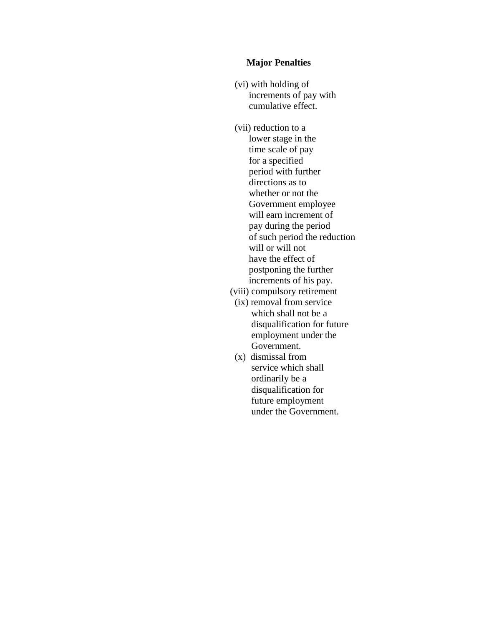#### **Major Penalties**

- (vi) with holding of increments of pay with cumulative effect.
- (vii) reduction to a lower stage in the time scale of pay for a specified period with further directions as to whether or not the Government employee will earn increment of pay during the period of such period the reduction will or will not have the effect of postponing the further increments of his pay.
- (viii) compulsory retirement
- (ix) removal from service which shall not be a disqualification for future employment under the Government.
- (x) dismissal from service which shall ordinarily be a disqualification for future employment under the Government.